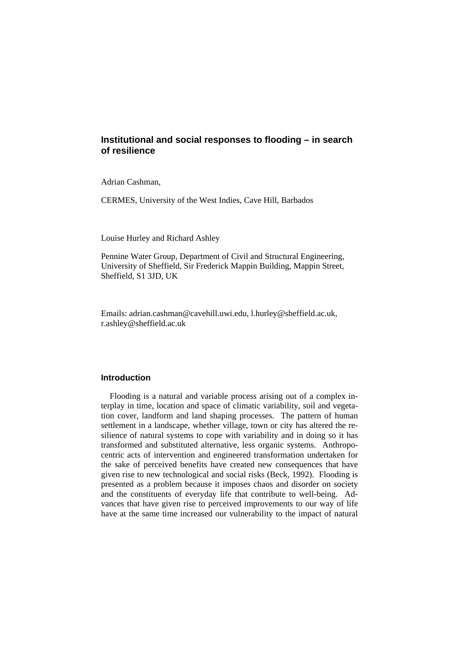# **Institutional and social responses to flooding – in search of resilience**

Adrian Cashman,

CERMES, University of the West Indies, Cave Hill, Barbados

Louise Hurley and Richard Ashley

Pennine Water Group, Department of Civil and Structural Engineering, University of Sheffield, Sir Frederick Mappin Building, Mappin Street, Sheffield, S1 3JD, UK

Emails: adrian.cashman@cavehill.uwi.edu, l.hurley@sheffield.ac.uk, r.ashley@sheffield.ac.uk

### **Introduction**

Flooding is a natural and variable process arising out of a complex interplay in time, location and space of climatic variability, soil and vegetation cover, landform and land shaping processes. The pattern of human settlement in a landscape, whether village, town or city has altered the resilience of natural systems to cope with variability and in doing so it has transformed and substituted alternative, less organic systems. Anthropocentric acts of intervention and engineered transformation undertaken for the sake of perceived benefits have created new consequences that have given rise to new technological and social risks (Beck, 1992). Flooding is presented as a problem because it imposes chaos and disorder on society and the constituents of everyday life that contribute to well-being. Advances that have given rise to perceived improvements to our way of life have at the same time increased our vulnerability to the impact of natural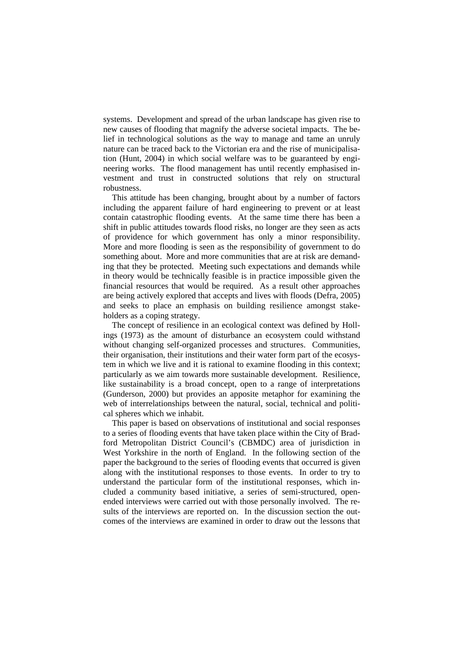systems. Development and spread of the urban landscape has given rise to new causes of flooding that magnify the adverse societal impacts. The belief in technological solutions as the way to manage and tame an unruly nature can be traced back to the Victorian era and the rise of municipalisation (Hunt, 2004) in which social welfare was to be guaranteed by engineering works. The flood management has until recently emphasised investment and trust in constructed solutions that rely on structural robustness.

This attitude has been changing, brought about by a number of factors including the apparent failure of hard engineering to prevent or at least contain catastrophic flooding events. At the same time there has been a shift in public attitudes towards flood risks, no longer are they seen as acts of providence for which government has only a minor responsibility. More and more flooding is seen as the responsibility of government to do something about. More and more communities that are at risk are demanding that they be protected. Meeting such expectations and demands while in theory would be technically feasible is in practice impossible given the financial resources that would be required. As a result other approaches are being actively explored that accepts and lives with floods (Defra, 2005) and seeks to place an emphasis on building resilience amongst stakeholders as a coping strategy.

The concept of resilience in an ecological context was defined by Hollings (1973) as the amount of disturbance an ecosystem could withstand without changing self-organized processes and structures. Communities, their organisation, their institutions and their water form part of the ecosystem in which we live and it is rational to examine flooding in this context; particularly as we aim towards more sustainable development. Resilience, like sustainability is a broad concept, open to a range of interpretations (Gunderson, 2000) but provides an apposite metaphor for examining the web of interrelationships between the natural, social, technical and political spheres which we inhabit.

This paper is based on observations of institutional and social responses to a series of flooding events that have taken place within the City of Bradford Metropolitan District Council's (CBMDC) area of jurisdiction in West Yorkshire in the north of England. In the following section of the paper the background to the series of flooding events that occurred is given along with the institutional responses to those events. In order to try to understand the particular form of the institutional responses, which included a community based initiative, a series of semi-structured, openended interviews were carried out with those personally involved. The results of the interviews are reported on. In the discussion section the outcomes of the interviews are examined in order to draw out the lessons that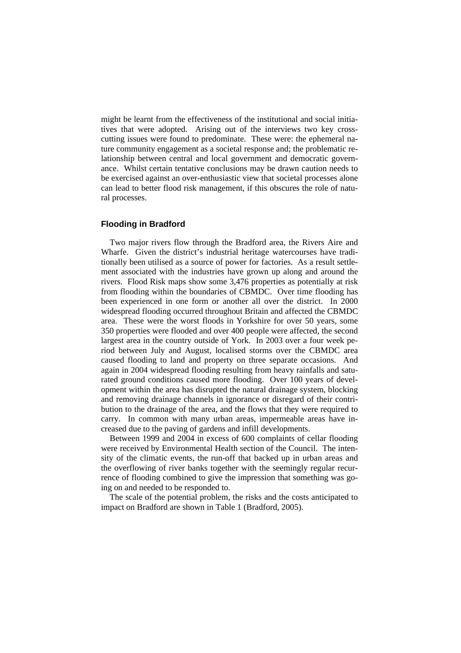might be learnt from the effectiveness of the institutional and social initiatives that were adopted. Arising out of the interviews two key crosscutting issues were found to predominate. These were: the ephemeral nature community engagement as a societal response and; the problematic relationship between central and local government and democratic governance. Whilst certain tentative conclusions may be drawn caution needs to be exercised against an over-enthusiastic view that societal processes alone can lead to better flood risk management, if this obscures the role of natural processes.

# **Flooding in Bradford**

Two major rivers flow through the Bradford area, the Rivers Aire and Wharfe. Given the district's industrial heritage watercourses have traditionally been utilised as a source of power for factories. As a result settlement associated with the industries have grown up along and around the rivers. Flood Risk maps show some 3,476 properties as potentially at risk from flooding within the boundaries of CBMDC. Over time flooding has been experienced in one form or another all over the district. In 2000 widespread flooding occurred throughout Britain and affected the CBMDC area. These were the worst floods in Yorkshire for over 50 years, some 350 properties were flooded and over 400 people were affected, the second largest area in the country outside of York. In 2003 over a four week period between July and August, localised storms over the CBMDC area caused flooding to land and property on three separate occasions. And again in 2004 widespread flooding resulting from heavy rainfalls and saturated ground conditions caused more flooding. Over 100 years of development within the area has disrupted the natural drainage system, blocking and removing drainage channels in ignorance or disregard of their contribution to the drainage of the area, and the flows that they were required to carry. In common with many urban areas, impermeable areas have increased due to the paving of gardens and infill developments.

Between 1999 and 2004 in excess of 600 complaints of cellar flooding were received by Environmental Health section of the Council. The intensity of the climatic events, the run-off that backed up in urban areas and the overflowing of river banks together with the seemingly regular recurrence of flooding combined to give the impression that something was going on and needed to be responded to.

The scale of the potential problem, the risks and the costs anticipated to impact on Bradford are shown in Table 1 (Bradford, 2005).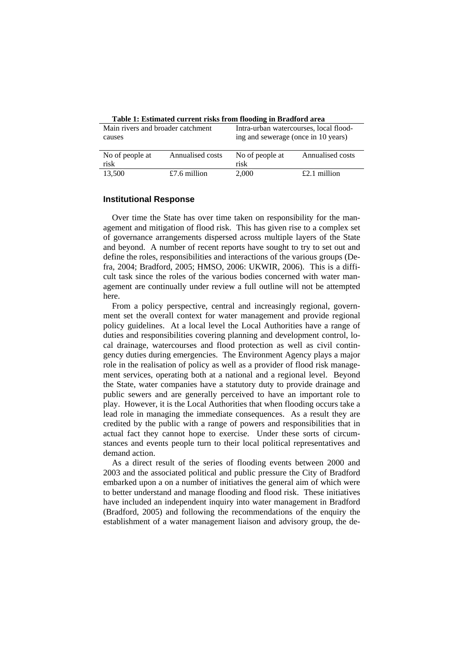| Main rivers and broader catchment<br>causes |                  | Intra-urban watercourses, local flood-<br>ing and sewerage (once in 10 years) |                  |
|---------------------------------------------|------------------|-------------------------------------------------------------------------------|------------------|
| No of people at<br>risk                     | Annualised costs | No of people at<br>risk                                                       | Annualised costs |
| 13,500                                      | £7.6 million     | 2.000                                                                         | $£2.1$ million   |

**Table 1: Estimated current risks from flooding in Bradford area** 

#### **Institutional Response**

Over time the State has over time taken on responsibility for the management and mitigation of flood risk. This has given rise to a complex set of governance arrangements dispersed across multiple layers of the State and beyond. A number of recent reports have sought to try to set out and define the roles, responsibilities and interactions of the various groups (Defra, 2004; Bradford, 2005; HMSO, 2006: UKWIR, 2006). This is a difficult task since the roles of the various bodies concerned with water management are continually under review a full outline will not be attempted here.

From a policy perspective, central and increasingly regional, government set the overall context for water management and provide regional policy guidelines. At a local level the Local Authorities have a range of duties and responsibilities covering planning and development control, local drainage, watercourses and flood protection as well as civil contingency duties during emergencies. The Environment Agency plays a major role in the realisation of policy as well as a provider of flood risk management services, operating both at a national and a regional level. Beyond the State, water companies have a statutory duty to provide drainage and public sewers and are generally perceived to have an important role to play. However, it is the Local Authorities that when flooding occurs take a lead role in managing the immediate consequences. As a result they are credited by the public with a range of powers and responsibilities that in actual fact they cannot hope to exercise. Under these sorts of circumstances and events people turn to their local political representatives and demand action.

As a direct result of the series of flooding events between 2000 and 2003 and the associated political and public pressure the City of Bradford embarked upon a on a number of initiatives the general aim of which were to better understand and manage flooding and flood risk. These initiatives have included an independent inquiry into water management in Bradford (Bradford, 2005) and following the recommendations of the enquiry the establishment of a water management liaison and advisory group, the de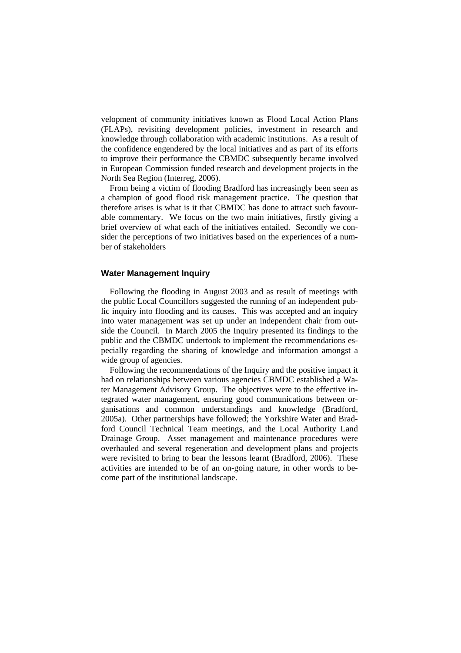velopment of community initiatives known as Flood Local Action Plans (FLAPs), revisiting development policies, investment in research and knowledge through collaboration with academic institutions. As a result of the confidence engendered by the local initiatives and as part of its efforts to improve their performance the CBMDC subsequently became involved in European Commission funded research and development projects in the North Sea Region (Interreg, 2006).

From being a victim of flooding Bradford has increasingly been seen as a champion of good flood risk management practice. The question that therefore arises is what is it that CBMDC has done to attract such favourable commentary. We focus on the two main initiatives, firstly giving a brief overview of what each of the initiatives entailed. Secondly we consider the perceptions of two initiatives based on the experiences of a number of stakeholders

### **Water Management Inquiry**

Following the flooding in August 2003 and as result of meetings with the public Local Councillors suggested the running of an independent public inquiry into flooding and its causes. This was accepted and an inquiry into water management was set up under an independent chair from outside the Council. In March 2005 the Inquiry presented its findings to the public and the CBMDC undertook to implement the recommendations especially regarding the sharing of knowledge and information amongst a wide group of agencies.

Following the recommendations of the Inquiry and the positive impact it had on relationships between various agencies CBMDC established a Water Management Advisory Group. The objectives were to the effective integrated water management, ensuring good communications between organisations and common understandings and knowledge (Bradford, 2005a). Other partnerships have followed; the Yorkshire Water and Bradford Council Technical Team meetings, and the Local Authority Land Drainage Group. Asset management and maintenance procedures were overhauled and several regeneration and development plans and projects were revisited to bring to bear the lessons learnt (Bradford, 2006). These activities are intended to be of an on-going nature, in other words to become part of the institutional landscape.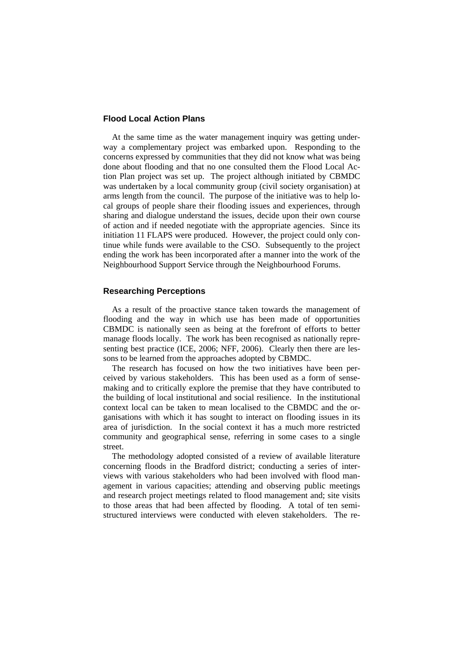# **Flood Local Action Plans**

At the same time as the water management inquiry was getting underway a complementary project was embarked upon. Responding to the concerns expressed by communities that they did not know what was being done about flooding and that no one consulted them the Flood Local Action Plan project was set up. The project although initiated by CBMDC was undertaken by a local community group (civil society organisation) at arms length from the council. The purpose of the initiative was to help local groups of people share their flooding issues and experiences, through sharing and dialogue understand the issues, decide upon their own course of action and if needed negotiate with the appropriate agencies. Since its initiation 11 FLAPS were produced. However, the project could only continue while funds were available to the CSO. Subsequently to the project ending the work has been incorporated after a manner into the work of the Neighbourhood Support Service through the Neighbourhood Forums.

## **Researching Perceptions**

As a result of the proactive stance taken towards the management of flooding and the way in which use has been made of opportunities CBMDC is nationally seen as being at the forefront of efforts to better manage floods locally. The work has been recognised as nationally representing best practice (ICE, 2006; NFF, 2006). Clearly then there are lessons to be learned from the approaches adopted by CBMDC.

The research has focused on how the two initiatives have been perceived by various stakeholders. This has been used as a form of sensemaking and to critically explore the premise that they have contributed to the building of local institutional and social resilience. In the institutional context local can be taken to mean localised to the CBMDC and the organisations with which it has sought to interact on flooding issues in its area of jurisdiction. In the social context it has a much more restricted community and geographical sense, referring in some cases to a single street.

The methodology adopted consisted of a review of available literature concerning floods in the Bradford district; conducting a series of interviews with various stakeholders who had been involved with flood management in various capacities; attending and observing public meetings and research project meetings related to flood management and; site visits to those areas that had been affected by flooding. A total of ten semistructured interviews were conducted with eleven stakeholders. The re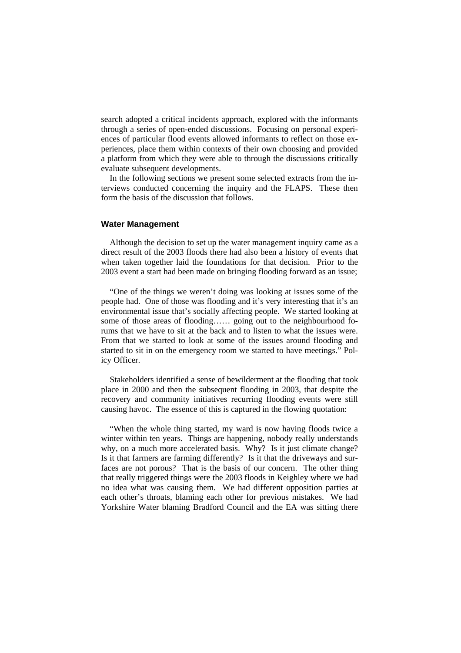search adopted a critical incidents approach, explored with the informants through a series of open-ended discussions. Focusing on personal experiences of particular flood events allowed informants to reflect on those experiences, place them within contexts of their own choosing and provided a platform from which they were able to through the discussions critically evaluate subsequent developments.

In the following sections we present some selected extracts from the interviews conducted concerning the inquiry and the FLAPS. These then form the basis of the discussion that follows.

## **Water Management**

Although the decision to set up the water management inquiry came as a direct result of the 2003 floods there had also been a history of events that when taken together laid the foundations for that decision. Prior to the 2003 event a start had been made on bringing flooding forward as an issue;

"One of the things we weren't doing was looking at issues some of the people had. One of those was flooding and it's very interesting that it's an environmental issue that's socially affecting people. We started looking at some of those areas of flooding…… going out to the neighbourhood forums that we have to sit at the back and to listen to what the issues were. From that we started to look at some of the issues around flooding and started to sit in on the emergency room we started to have meetings." Policy Officer.

Stakeholders identified a sense of bewilderment at the flooding that took place in 2000 and then the subsequent flooding in 2003, that despite the recovery and community initiatives recurring flooding events were still causing havoc. The essence of this is captured in the flowing quotation:

"When the whole thing started, my ward is now having floods twice a winter within ten years. Things are happening, nobody really understands why, on a much more accelerated basis. Why? Is it just climate change? Is it that farmers are farming differently? Is it that the driveways and surfaces are not porous? That is the basis of our concern. The other thing that really triggered things were the 2003 floods in Keighley where we had no idea what was causing them. We had different opposition parties at each other's throats, blaming each other for previous mistakes. We had Yorkshire Water blaming Bradford Council and the EA was sitting there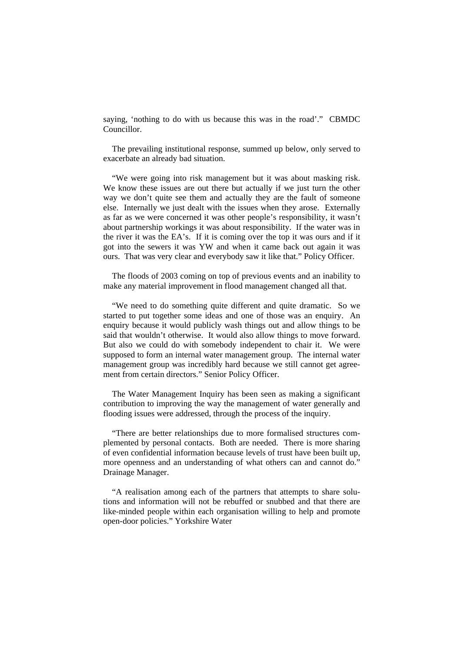saying, 'nothing to do with us because this was in the road'." CBMDC Councillor.

The prevailing institutional response, summed up below, only served to exacerbate an already bad situation.

"We were going into risk management but it was about masking risk. We know these issues are out there but actually if we just turn the other way we don't quite see them and actually they are the fault of someone else. Internally we just dealt with the issues when they arose. Externally as far as we were concerned it was other people's responsibility, it wasn't about partnership workings it was about responsibility. If the water was in the river it was the EA's. If it is coming over the top it was ours and if it got into the sewers it was YW and when it came back out again it was ours. That was very clear and everybody saw it like that." Policy Officer.

The floods of 2003 coming on top of previous events and an inability to make any material improvement in flood management changed all that.

"We need to do something quite different and quite dramatic. So we started to put together some ideas and one of those was an enquiry. An enquiry because it would publicly wash things out and allow things to be said that wouldn't otherwise. It would also allow things to move forward. But also we could do with somebody independent to chair it. We were supposed to form an internal water management group. The internal water management group was incredibly hard because we still cannot get agreement from certain directors." Senior Policy Officer.

The Water Management Inquiry has been seen as making a significant contribution to improving the way the management of water generally and flooding issues were addressed, through the process of the inquiry.

"There are better relationships due to more formalised structures complemented by personal contacts. Both are needed. There is more sharing of even confidential information because levels of trust have been built up, more openness and an understanding of what others can and cannot do." Drainage Manager.

"A realisation among each of the partners that attempts to share solutions and information will not be rebuffed or snubbed and that there are like-minded people within each organisation willing to help and promote open-door policies." Yorkshire Water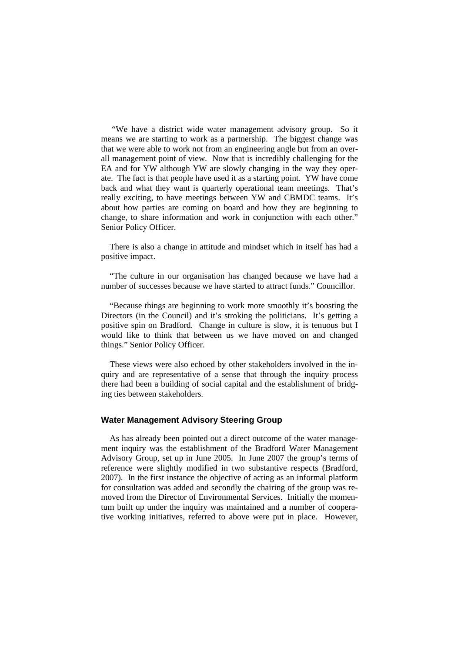"We have a district wide water management advisory group. So it means we are starting to work as a partnership. The biggest change was that we were able to work not from an engineering angle but from an overall management point of view. Now that is incredibly challenging for the EA and for YW although YW are slowly changing in the way they operate. The fact is that people have used it as a starting point. YW have come back and what they want is quarterly operational team meetings. That's really exciting, to have meetings between YW and CBMDC teams. It's about how parties are coming on board and how they are beginning to change, to share information and work in conjunction with each other." Senior Policy Officer.

There is also a change in attitude and mindset which in itself has had a positive impact.

"The culture in our organisation has changed because we have had a number of successes because we have started to attract funds." Councillor.

"Because things are beginning to work more smoothly it's boosting the Directors (in the Council) and it's stroking the politicians. It's getting a positive spin on Bradford. Change in culture is slow, it is tenuous but I would like to think that between us we have moved on and changed things." Senior Policy Officer.

These views were also echoed by other stakeholders involved in the inquiry and are representative of a sense that through the inquiry process there had been a building of social capital and the establishment of bridging ties between stakeholders.

# **Water Management Advisory Steering Group**

As has already been pointed out a direct outcome of the water management inquiry was the establishment of the Bradford Water Management Advisory Group, set up in June 2005. In June 2007 the group's terms of reference were slightly modified in two substantive respects (Bradford, 2007). In the first instance the objective of acting as an informal platform for consultation was added and secondly the chairing of the group was removed from the Director of Environmental Services. Initially the momentum built up under the inquiry was maintained and a number of cooperative working initiatives, referred to above were put in place. However,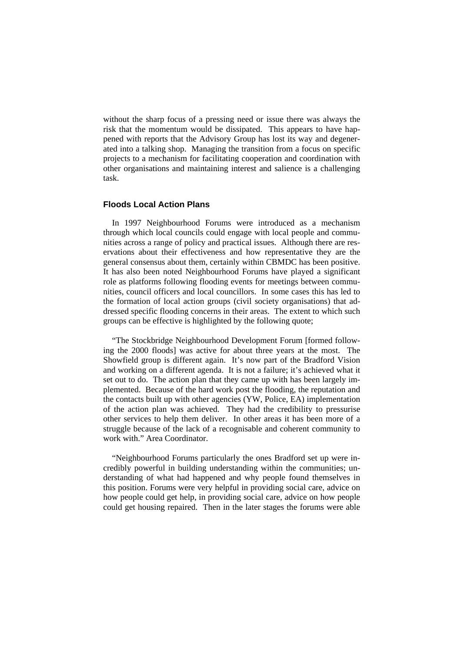without the sharp focus of a pressing need or issue there was always the risk that the momentum would be dissipated. This appears to have happened with reports that the Advisory Group has lost its way and degenerated into a talking shop. Managing the transition from a focus on specific projects to a mechanism for facilitating cooperation and coordination with other organisations and maintaining interest and salience is a challenging task.

#### **Floods Local Action Plans**

In 1997 Neighbourhood Forums were introduced as a mechanism through which local councils could engage with local people and communities across a range of policy and practical issues. Although there are reservations about their effectiveness and how representative they are the general consensus about them, certainly within CBMDC has been positive. It has also been noted Neighbourhood Forums have played a significant role as platforms following flooding events for meetings between communities, council officers and local councillors. In some cases this has led to the formation of local action groups (civil society organisations) that addressed specific flooding concerns in their areas. The extent to which such groups can be effective is highlighted by the following quote;

"The Stockbridge Neighbourhood Development Forum [formed following the 2000 floods] was active for about three years at the most. The Showfield group is different again. It's now part of the Bradford Vision and working on a different agenda. It is not a failure; it's achieved what it set out to do. The action plan that they came up with has been largely implemented. Because of the hard work post the flooding, the reputation and the contacts built up with other agencies (YW, Police, EA) implementation of the action plan was achieved. They had the credibility to pressurise other services to help them deliver. In other areas it has been more of a struggle because of the lack of a recognisable and coherent community to work with." Area Coordinator.

"Neighbourhood Forums particularly the ones Bradford set up were incredibly powerful in building understanding within the communities; understanding of what had happened and why people found themselves in this position. Forums were very helpful in providing social care, advice on how people could get help, in providing social care, advice on how people could get housing repaired. Then in the later stages the forums were able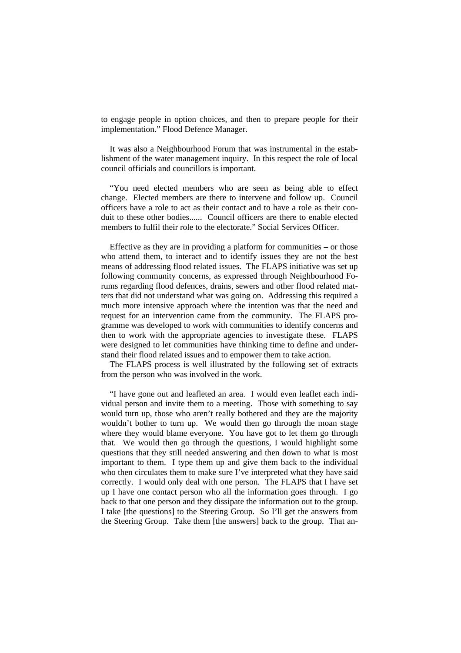to engage people in option choices, and then to prepare people for their implementation." Flood Defence Manager.

It was also a Neighbourhood Forum that was instrumental in the establishment of the water management inquiry. In this respect the role of local council officials and councillors is important.

"You need elected members who are seen as being able to effect change. Elected members are there to intervene and follow up. Council officers have a role to act as their contact and to have a role as their conduit to these other bodies...... Council officers are there to enable elected members to fulfil their role to the electorate." Social Services Officer.

Effective as they are in providing a platform for communities  $-$  or those who attend them, to interact and to identify issues they are not the best means of addressing flood related issues. The FLAPS initiative was set up following community concerns, as expressed through Neighbourhood Forums regarding flood defences, drains, sewers and other flood related matters that did not understand what was going on. Addressing this required a much more intensive approach where the intention was that the need and request for an intervention came from the community. The FLAPS programme was developed to work with communities to identify concerns and then to work with the appropriate agencies to investigate these. FLAPS were designed to let communities have thinking time to define and understand their flood related issues and to empower them to take action.

The FLAPS process is well illustrated by the following set of extracts from the person who was involved in the work.

"I have gone out and leafleted an area. I would even leaflet each individual person and invite them to a meeting. Those with something to say would turn up, those who aren't really bothered and they are the majority wouldn't bother to turn up. We would then go through the moan stage where they would blame everyone. You have got to let them go through that. We would then go through the questions, I would highlight some questions that they still needed answering and then down to what is most important to them. I type them up and give them back to the individual who then circulates them to make sure I've interpreted what they have said correctly. I would only deal with one person. The FLAPS that I have set up I have one contact person who all the information goes through. I go back to that one person and they dissipate the information out to the group. I take [the questions] to the Steering Group. So I'll get the answers from the Steering Group. Take them [the answers] back to the group. That an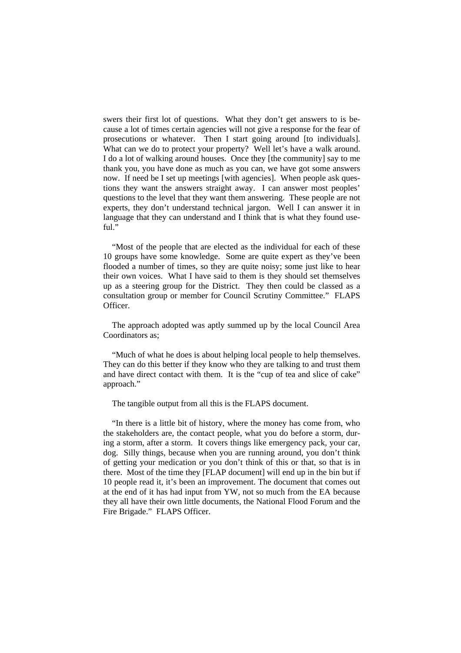swers their first lot of questions. What they don't get answers to is because a lot of times certain agencies will not give a response for the fear of prosecutions or whatever. Then I start going around [to individuals]. What can we do to protect your property? Well let's have a walk around. I do a lot of walking around houses. Once they [the community] say to me thank you, you have done as much as you can, we have got some answers now. If need be I set up meetings [with agencies]. When people ask questions they want the answers straight away. I can answer most peoples' questions to the level that they want them answering. These people are not experts, they don't understand technical jargon. Well I can answer it in language that they can understand and I think that is what they found useful."

"Most of the people that are elected as the individual for each of these 10 groups have some knowledge. Some are quite expert as they've been flooded a number of times, so they are quite noisy; some just like to hear their own voices. What I have said to them is they should set themselves up as a steering group for the District. They then could be classed as a consultation group or member for Council Scrutiny Committee." FLAPS Officer.

The approach adopted was aptly summed up by the local Council Area Coordinators as;

"Much of what he does is about helping local people to help themselves. They can do this better if they know who they are talking to and trust them and have direct contact with them. It is the "cup of tea and slice of cake" approach."

The tangible output from all this is the FLAPS document.

"In there is a little bit of history, where the money has come from, who the stakeholders are, the contact people, what you do before a storm, during a storm, after a storm. It covers things like emergency pack, your car, dog. Silly things, because when you are running around, you don't think of getting your medication or you don't think of this or that, so that is in there. Most of the time they [FLAP document] will end up in the bin but if 10 people read it, it's been an improvement. The document that comes out at the end of it has had input from YW, not so much from the EA because they all have their own little documents, the National Flood Forum and the Fire Brigade." FLAPS Officer.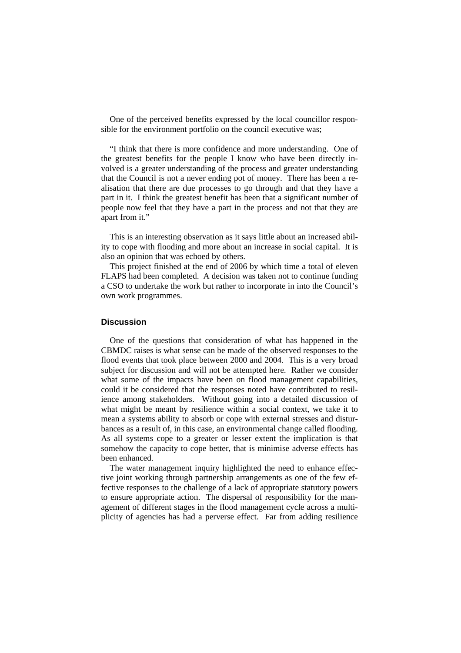One of the perceived benefits expressed by the local councillor responsible for the environment portfolio on the council executive was;

"I think that there is more confidence and more understanding. One of the greatest benefits for the people I know who have been directly involved is a greater understanding of the process and greater understanding that the Council is not a never ending pot of money. There has been a realisation that there are due processes to go through and that they have a part in it. I think the greatest benefit has been that a significant number of people now feel that they have a part in the process and not that they are apart from it."

This is an interesting observation as it says little about an increased ability to cope with flooding and more about an increase in social capital. It is also an opinion that was echoed by others.

This project finished at the end of 2006 by which time a total of eleven FLAPS had been completed. A decision was taken not to continue funding a CSO to undertake the work but rather to incorporate in into the Council's own work programmes.

#### **Discussion**

One of the questions that consideration of what has happened in the CBMDC raises is what sense can be made of the observed responses to the flood events that took place between 2000 and 2004. This is a very broad subject for discussion and will not be attempted here. Rather we consider what some of the impacts have been on flood management capabilities, could it be considered that the responses noted have contributed to resilience among stakeholders. Without going into a detailed discussion of what might be meant by resilience within a social context, we take it to mean a systems ability to absorb or cope with external stresses and disturbances as a result of, in this case, an environmental change called flooding. As all systems cope to a greater or lesser extent the implication is that somehow the capacity to cope better, that is minimise adverse effects has been enhanced.

The water management inquiry highlighted the need to enhance effective joint working through partnership arrangements as one of the few effective responses to the challenge of a lack of appropriate statutory powers to ensure appropriate action. The dispersal of responsibility for the management of different stages in the flood management cycle across a multiplicity of agencies has had a perverse effect. Far from adding resilience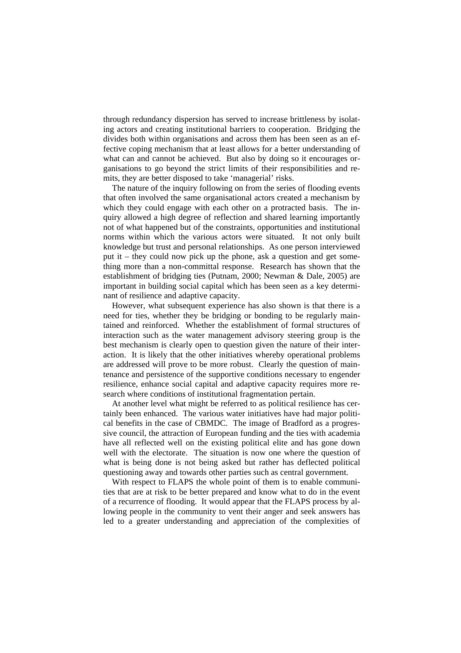through redundancy dispersion has served to increase brittleness by isolating actors and creating institutional barriers to cooperation. Bridging the divides both within organisations and across them has been seen as an effective coping mechanism that at least allows for a better understanding of what can and cannot be achieved. But also by doing so it encourages organisations to go beyond the strict limits of their responsibilities and remits, they are better disposed to take 'managerial' risks.

The nature of the inquiry following on from the series of flooding events that often involved the same organisational actors created a mechanism by which they could engage with each other on a protracted basis. The inquiry allowed a high degree of reflection and shared learning importantly not of what happened but of the constraints, opportunities and institutional norms within which the various actors were situated. It not only built knowledge but trust and personal relationships. As one person interviewed put it – they could now pick up the phone, ask a question and get something more than a non-committal response. Research has shown that the establishment of bridging ties (Putnam, 2000; Newman & Dale, 2005) are important in building social capital which has been seen as a key determinant of resilience and adaptive capacity.

However, what subsequent experience has also shown is that there is a need for ties, whether they be bridging or bonding to be regularly maintained and reinforced. Whether the establishment of formal structures of interaction such as the water management advisory steering group is the best mechanism is clearly open to question given the nature of their interaction. It is likely that the other initiatives whereby operational problems are addressed will prove to be more robust. Clearly the question of maintenance and persistence of the supportive conditions necessary to engender resilience, enhance social capital and adaptive capacity requires more research where conditions of institutional fragmentation pertain.

At another level what might be referred to as political resilience has certainly been enhanced. The various water initiatives have had major political benefits in the case of CBMDC. The image of Bradford as a progressive council, the attraction of European funding and the ties with academia have all reflected well on the existing political elite and has gone down well with the electorate. The situation is now one where the question of what is being done is not being asked but rather has deflected political questioning away and towards other parties such as central government.

With respect to FLAPS the whole point of them is to enable communities that are at risk to be better prepared and know what to do in the event of a recurrence of flooding. It would appear that the FLAPS process by allowing people in the community to vent their anger and seek answers has led to a greater understanding and appreciation of the complexities of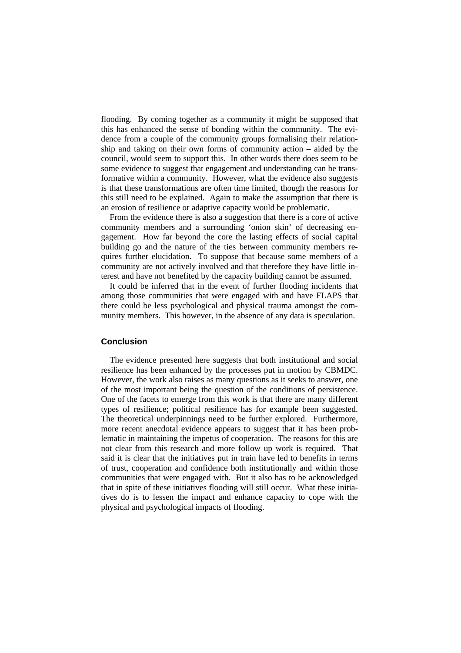flooding. By coming together as a community it might be supposed that this has enhanced the sense of bonding within the community. The evidence from a couple of the community groups formalising their relationship and taking on their own forms of community action – aided by the council, would seem to support this. In other words there does seem to be some evidence to suggest that engagement and understanding can be transformative within a community. However, what the evidence also suggests is that these transformations are often time limited, though the reasons for this still need to be explained. Again to make the assumption that there is an erosion of resilience or adaptive capacity would be problematic.

From the evidence there is also a suggestion that there is a core of active community members and a surrounding 'onion skin' of decreasing engagement. How far beyond the core the lasting effects of social capital building go and the nature of the ties between community members requires further elucidation. To suppose that because some members of a community are not actively involved and that therefore they have little interest and have not benefited by the capacity building cannot be assumed.

It could be inferred that in the event of further flooding incidents that among those communities that were engaged with and have FLAPS that there could be less psychological and physical trauma amongst the community members. This however, in the absence of any data is speculation.

#### **Conclusion**

The evidence presented here suggests that both institutional and social resilience has been enhanced by the processes put in motion by CBMDC. However, the work also raises as many questions as it seeks to answer, one of the most important being the question of the conditions of persistence. One of the facets to emerge from this work is that there are many different types of resilience; political resilience has for example been suggested. The theoretical underpinnings need to be further explored. Furthermore, more recent anecdotal evidence appears to suggest that it has been problematic in maintaining the impetus of cooperation. The reasons for this are not clear from this research and more follow up work is required. That said it is clear that the initiatives put in train have led to benefits in terms of trust, cooperation and confidence both institutionally and within those communities that were engaged with. But it also has to be acknowledged that in spite of these initiatives flooding will still occur. What these initiatives do is to lessen the impact and enhance capacity to cope with the physical and psychological impacts of flooding.